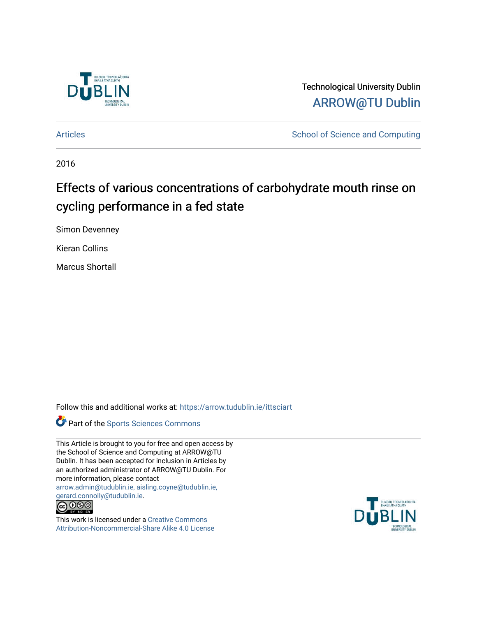

Technological University Dublin [ARROW@TU Dublin](https://arrow.tudublin.ie/) 

[Articles](https://arrow.tudublin.ie/ittsciart) **School of Science and Computing** 

2016

# Effects of various concentrations of carbohydrate mouth rinse on cycling performance in a fed state

Simon Devenney

Kieran Collins

Marcus Shortall

Follow this and additional works at: [https://arrow.tudublin.ie/ittsciart](https://arrow.tudublin.ie/ittsciart?utm_source=arrow.tudublin.ie%2Fittsciart%2F130&utm_medium=PDF&utm_campaign=PDFCoverPages)



This Article is brought to you for free and open access by the School of Science and Computing at ARROW@TU Dublin. It has been accepted for inclusion in Articles by an authorized administrator of ARROW@TU Dublin. For more information, please contact [arrow.admin@tudublin.ie, aisling.coyne@tudublin.ie,](mailto:arrow.admin@tudublin.ie,%20aisling.coyne@tudublin.ie,%20gerard.connolly@tudublin.ie)  [gerard.connolly@tudublin.ie](mailto:arrow.admin@tudublin.ie,%20aisling.coyne@tudublin.ie,%20gerard.connolly@tudublin.ie).



This work is licensed under a [Creative Commons](http://creativecommons.org/licenses/by-nc-sa/4.0/) [Attribution-Noncommercial-Share Alike 4.0 License](http://creativecommons.org/licenses/by-nc-sa/4.0/)

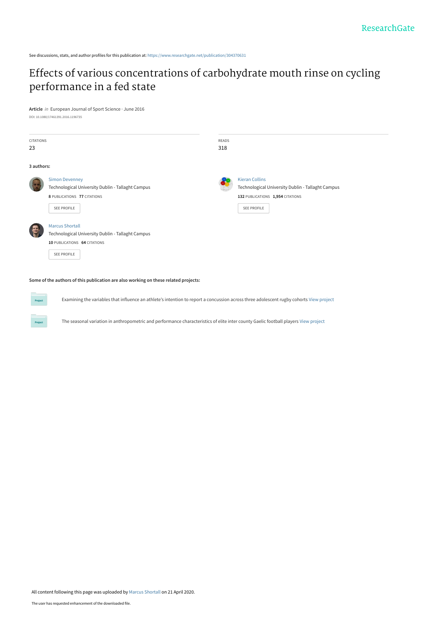See discussions, stats, and author profiles for this publication at: [https://www.researchgate.net/publication/304370631](https://www.researchgate.net/publication/304370631_Effects_of_various_concentrations_of_carbohydrate_mouth_rinse_on_cycling_performance_in_a_fed_state?enrichId=rgreq-ea5f2fda897317bcec675402f213f4e5-XXX&enrichSource=Y292ZXJQYWdlOzMwNDM3MDYzMTtBUzo4ODI3OTI2ODY2OTQ0MDRAMTU4NzQ4NTU4Njk5Ng%3D%3D&el=1_x_2&_esc=publicationCoverPdf)

## [Effects of various concentrations of carbohydrate mouth rinse on cycling](https://www.researchgate.net/publication/304370631_Effects_of_various_concentrations_of_carbohydrate_mouth_rinse_on_cycling_performance_in_a_fed_state?enrichId=rgreq-ea5f2fda897317bcec675402f213f4e5-XXX&enrichSource=Y292ZXJQYWdlOzMwNDM3MDYzMTtBUzo4ODI3OTI2ODY2OTQ0MDRAMTU4NzQ4NTU4Njk5Ng%3D%3D&el=1_x_3&_esc=publicationCoverPdf) performance in a fed state

**Article** in European Journal of Sport Science · June 2016 DOI: 10.1080/17461391.2016.1196735

| <b>CITATIONS</b><br>23 |                                                                                                                                   | READS<br>318 |                                                                                                                               |
|------------------------|-----------------------------------------------------------------------------------------------------------------------------------|--------------|-------------------------------------------------------------------------------------------------------------------------------|
| 3 authors:             |                                                                                                                                   |              |                                                                                                                               |
|                        | <b>Simon Devenney</b><br>Technological University Dublin - Tallaght Campus<br>8 PUBLICATIONS 77 CITATIONS<br><b>SEE PROFILE</b>   |              | <b>Kieran Collins</b><br>Technological University Dublin - Tallaght Campus<br>132 PUBLICATIONS 1,954 CITATIONS<br>SEE PROFILE |
|                        | <b>Marcus Shortall</b><br>Technological University Dublin - Tallaght Campus<br>10 PUBLICATIONS 64 CITATIONS<br><b>SEE PROFILE</b> |              |                                                                                                                               |

**Some of the authors of this publication are also working on these related projects:**

**Project** 

Examining the variables that influence an athlete's intention to report a concussion across three adolescent rugby cohorts [View project](https://www.researchgate.net/project/Examining-the-variables-that-influence-an-athletes-intention-to-report-a-concussion-across-three-adolescent-rugby-cohorts?enrichId=rgreq-ea5f2fda897317bcec675402f213f4e5-XXX&enrichSource=Y292ZXJQYWdlOzMwNDM3MDYzMTtBUzo4ODI3OTI2ODY2OTQ0MDRAMTU4NzQ4NTU4Njk5Ng%3D%3D&el=1_x_9&_esc=publicationCoverPdf)

The seasonal variation in anthropometric and performance characteristics of elite inter county Gaelic football players [View project](https://www.researchgate.net/project/The-seasonal-variation-in-anthropometric-and-performance-characteristics-of-elite-inter-county-Gaelic-football-players?enrichId=rgreq-ea5f2fda897317bcec675402f213f4e5-XXX&enrichSource=Y292ZXJQYWdlOzMwNDM3MDYzMTtBUzo4ODI3OTI2ODY2OTQ0MDRAMTU4NzQ4NTU4Njk5Ng%3D%3D&el=1_x_9&_esc=publicationCoverPdf)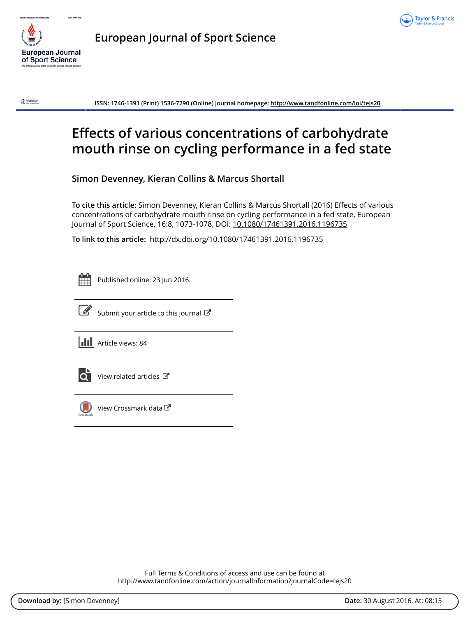



**European Journal of Sport Science**

 $\mathbf{R}$  Routledge

**ISSN: 1746-1391 (Print) 1536-7290 (Online) Journal homepage:<http://www.tandfonline.com/loi/tejs20>**

# **Effects of various concentrations of carbohydrate mouth rinse on cycling performance in a fed state**

**Simon Devenney, Kieran Collins & Marcus Shortall**

**To cite this article:** Simon Devenney, Kieran Collins & Marcus Shortall (2016) Effects of various concentrations of carbohydrate mouth rinse on cycling performance in a fed state, European Journal of Sport Science, 16:8, 1073-1078, DOI: [10.1080/17461391.2016.1196735](http://www.tandfonline.com/action/showCitFormats?doi=10.1080/17461391.2016.1196735)

**To link to this article:** <http://dx.doi.org/10.1080/17461391.2016.1196735>

Published online: 23 Jun 2016.



 $\overrightarrow{S}$  [Submit your article to this journal](http://www.tandfonline.com/action/authorSubmission?journalCode=tejs20&show=instructions)  $\overrightarrow{S}$ 

**Article views: 84** 



 $\overline{Q}$  [View related articles](http://www.tandfonline.com/doi/mlt/10.1080/17461391.2016.1196735)  $\overline{C}$ 



[View Crossmark data](http://crossmark.crossref.org/dialog/?doi=10.1080/17461391.2016.1196735&domain=pdf&date_stamp=2016-06-23)

Full Terms & Conditions of access and use can be found at <http://www.tandfonline.com/action/journalInformation?journalCode=tejs20>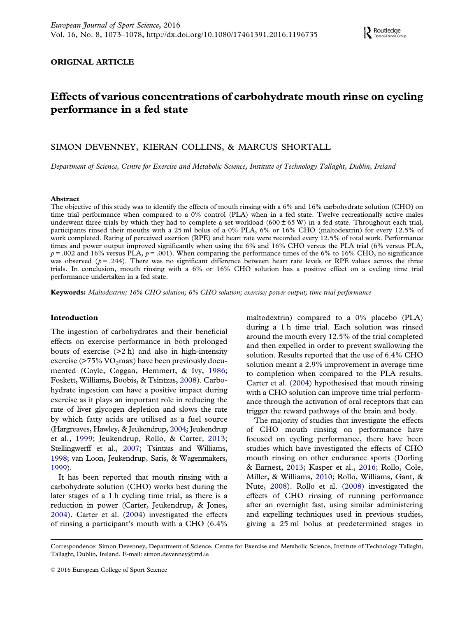#### <span id="page-3-0"></span>ORIGINAL ARTICLE

### Effects of various concentrations of carbohydrate mouth rinse on cycling performance in a fed state

#### SIMON DEVENNEY, KIERAN COLLINS, & MARCUS SHORTALL

Department of Science, Centre for Exercise and Metabolic Science, Institute of Technology Tallaght, Dublin, Ireland

#### Abstract

The objective of this study was to identify the effects of mouth rinsing with a 6% and 16% carbohydrate solution (CHO) on time trial performance when compared to a 0% control (PLA) when in a fed state. Twelve recreationally active males underwent three trials by which they had to complete a set workload (600  $\pm$  65 W) in a fed state. Throughout each trial, participants rinsed their mouths with a 25 ml bolus of a 0% PLA, 6% or 16% CHO (maltodextrin) for every 12.5% of work completed. Rating of perceived exertion (RPE) and heart rate were recorded every 12.5% of total work. Performance times and power output improved significantly when using the 6% and 16% CHO versus the PLA trial (6% versus PLA,  $p = .002$  and 16% versus PLA,  $p = .001$ ). When comparing the performance times of the 6% to 16% CHO, no significance was observed ( $p = .244$ ). There was no significant difference between heart rate levels or RPE values across the three trials. In conclusion, mouth rinsing with a 6% or 16% CHO solution has a positive effect on a cycling time trial performance undertaken in a fed state.

Keywords: Maltodextrin; 16% CHO solution; 6% CHO solution; exercise; power output; time trial performance

#### Introduction

The ingestion of carbohydrates and their beneficial effects on exercise performance in both prolonged bouts of exercise  $(2h)$  and also in high-intensity exercise ( $>75\%$  VO<sub>2</sub>max) have been previously documented (Coyle, Coggan, Hemmert, & Ivy, [1986;](#page-7-0) Foskett, Williams, Boobis, & Tsintzas, [2008\)](#page-7-0). Carbohydrate ingestion can have a positive impact during exercise as it plays an important role in reducing the rate of liver glycogen depletion and slows the rate by which fatty acids are utilised as a fuel source (Hargreaves, Hawley, & Jeukendrup, [2004](#page-7-0); Jeukendrup et al., [1999](#page-8-0); Jeukendrup, Rollo, & Carter, [2013;](#page-8-0) Stellingwerff et al., [2007](#page-8-0); Tsintzas and Williams, [1998](#page-8-0); van Loon, Jeukendrup, Saris, & Wagenmakers, [1999](#page-8-0)).

It has been reported that mouth rinsing with a carbohydrate solution (CHO) works best during the later stages of a 1 h cycling time trial, as there is a reduction in power (Carter, Jeukendrup, & Jones, [2004\)](#page-7-0). Carter et al. ([2004](#page-7-0)) investigated the effects of rinsing a participant's mouth with a CHO (6.4%

maltodextrin) compared to a 0% placebo (PLA) during a 1 h time trial. Each solution was rinsed around the mouth every 12.5% of the trial completed and then expelled in order to prevent swallowing the solution. Results reported that the use of 6.4% CHO solution meant a 2.9% improvement in average time to completion when compared to the PLA results. Carter et al. ([2004\)](#page-7-0) hypothesised that mouth rinsing with a CHO solution can improve time trial performance through the activation of oral receptors that can trigger the reward pathways of the brain and body.

The majority of studies that investigate the effects of CHO mouth rinsing on performance have focused on cycling performance, there have been studies which have investigated the effects of CHO mouth rinsing on other endurance sports (Dorling & Earnest, [2013](#page-7-0); Kasper et al., [2016](#page-8-0); Rollo, Cole, Miller, & Williams, [2010](#page-8-0); Rollo, Williams, Gant, & Nute, [2008](#page-8-0)). Rollo et al. [\(2008\)](#page-8-0) investigated the effects of CHO rinsing of running performance after an overnight fast, using similar administering and expelling techniques used in previous studies, giving a 25 ml bolus at predetermined stages in

Correspondence: Simon Devenney, Department of Science, Centre for Exercise and Metabolic Science, Institute of Technology Tallaght, Tallaght, Dublin, Ireland. E-mail: [simon.devenney@ittd.ie](mailto:simon.devenney@ittd.ie)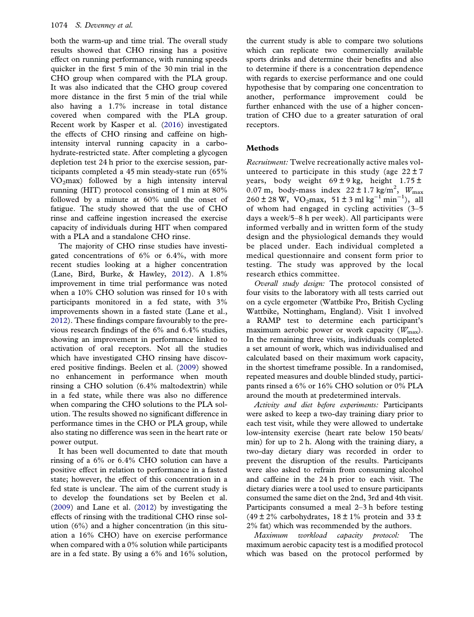<span id="page-4-0"></span>both the warm-up and time trial. The overall study results showed that CHO rinsing has a positive effect on running performance, with running speeds quicker in the first 5 min of the 30 min trial in the CHO group when compared with the PLA group. It was also indicated that the CHO group covered more distance in the first 5 min of the trial while also having a 1.7% increase in total distance covered when compared with the PLA group. Recent work by Kasper et al. ([2016](#page-8-0)) investigated the effects of CHO rinsing and caffeine on highintensity interval running capacity in a carbohydrate-restricted state. After completing a glycogen depletion test 24 h prior to the exercise session, participants completed a 45 min steady-state run (65%  $VO<sub>2</sub>max$ ) followed by a high intensity interval running (HIT) protocol consisting of 1 min at 80% followed by a minute at 60% until the onset of fatigue. The study showed that the use of CHO rinse and caffeine ingestion increased the exercise capacity of individuals during HIT when compared with a PLA and a standalone CHO rinse.

The majority of CHO rinse studies have investigated concentrations of 6% or 6.4%, with more recent studies looking at a higher concentration (Lane, Bird, Burke, & Hawley, [2012\)](#page-8-0). A 1.8% improvement in time trial performance was noted when a 10% CHO solution was rinsed for 10 s with participants monitored in a fed state, with 3% improvements shown in a fasted state (Lane et al., [2012\)](#page-8-0). These findings compare favourably to the previous research findings of the 6% and 6.4% studies, showing an improvement in performance linked to activation of oral receptors. Not all the studies which have investigated CHO rinsing have discovered positive findings. Beelen et al. [\(2009](#page-7-0)) showed no enhancement in performance when mouth rinsing a CHO solution (6.4% maltodextrin) while in a fed state, while there was also no difference when comparing the CHO solutions to the PLA solution. The results showed no significant difference in performance times in the CHO or PLA group, while also stating no difference was seen in the heart rate or power output.

It has been well documented to date that mouth rinsing of a 6% or 6.4% CHO solution can have a positive effect in relation to performance in a fasted state; however, the effect of this concentration in a fed state is unclear. The aim of the current study is to develop the foundations set by Beelen et al. ([2009\)](#page-7-0) and Lane et al. [\(2012\)](#page-8-0) by investigating the effects of rinsing with the traditional CHO rinse solution (6%) and a higher concentration (in this situation a 16% CHO) have on exercise performance when compared with a 0% solution while participants are in a fed state. By using a 6% and 16% solution,

the current study is able to compare two solutions which can replicate two commercially available sports drinks and determine their benefits and also to determine if there is a concentration dependence with regards to exercise performance and one could hypothesise that by comparing one concentration to another, performance improvement could be further enhanced with the use of a higher concentration of CHO due to a greater saturation of oral receptors.

### Methods

Recruitment: Twelve recreationally active males volunteered to participate in this study (age  $22 \pm 7$ years, body weight  $69 \pm 9$  kg, height  $1.75 \pm$ 0.07 m, body-mass index  $22 \pm 1.7$  kg/m<sup>2</sup>,  $W_{\text{max}}$  $260 \pm 28$  W, VO<sub>2</sub>max, 51 ± 3 ml kg<sup>-1</sup> min<sup>-1</sup>), all of whom had engaged in cycling activities (3–5 days a week/5–8 h per week). All participants were informed verbally and in written form of the study design and the physiological demands they would be placed under. Each individual completed a medical questionnaire and consent form prior to testing. The study was approved by the local research ethics committee.

Overall study design: The protocol consisted of four visits to the laboratory with all tests carried out on a cycle ergometer (Wattbike Pro, British Cycling Wattbike, Nottingham, England). Visit 1 involved a RAMP test to determine each participant's maximum aerobic power or work capacity  $(W_{\text{max}})$ . In the remaining three visits, individuals completed a set amount of work, which was individualised and calculated based on their maximum work capacity, in the shortest timeframe possible. In a randomised, repeated measures and double blinded study, participants rinsed a 6% or 16% CHO solution or 0% PLA around the mouth at predetermined intervals.

Activity and diet before experiments: Participants were asked to keep a two-day training diary prior to each test visit, while they were allowed to undertake low-intensity exercise (heart rate below 150 beats/ min) for up to 2 h. Along with the training diary, a two-day dietary diary was recorded in order to prevent the disruption of the results. Participants were also asked to refrain from consuming alcohol and caffeine in the 24 h prior to each visit. The dietary diaries were a tool used to ensure participants consumed the same diet on the 2nd, 3rd and 4th visit. Participants consumed a meal 2–3 h before testing (49  $\pm$  2% carbohydrates, 18  $\pm$  1% protein and 33  $\pm$ 2% fat) which was recommended by the authors.

Maximum workload capacity protocol: The maximum aerobic capacity test is a modified protocol which was based on the protocol performed by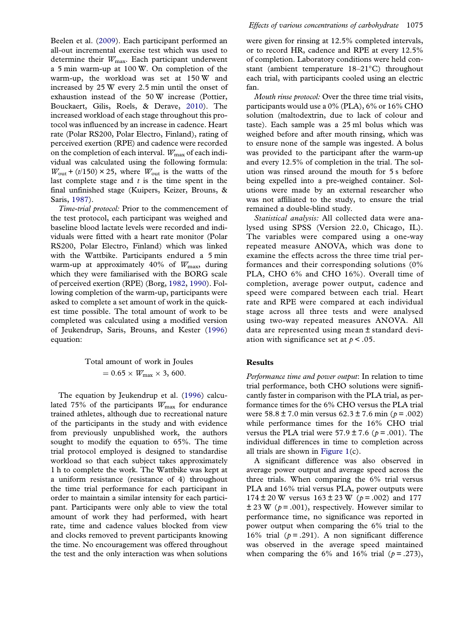<span id="page-5-0"></span>Beelen et al. ([2009](#page-7-0)). Each participant performed an all-out incremental exercise test which was used to determine their  $W_{\text{max}}$ . Each participant underwent a 5 min warm-up at 100 W. On completion of the warm-up, the workload was set at 150 W and increased by 25 W every 2.5 min until the onset of exhaustion instead of the 50 W increase (Pottier, Bouckaert, Gilis, Roels, & Derave, [2010](#page-8-0)). The increased workload of each stage throughout this protocol was influenced by an increase in cadence. Heart rate (Polar RS200, Polar Electro, Finland), rating of perceived exertion (RPE) and cadence were recorded on the completion of each interval.  $W_{\text{max}}$  of each individual was calculated using the following formula:  $W_{\text{out}}$  + (t/150) × 25, where  $W_{\text{out}}$  is the watts of the last complete stage and  $t$  is the time spent in the final unfinished stage (Kuipers, Keizer, Brouns, & Saris, [1987\)](#page-8-0).

Time-trial protocol: Prior to the commencement of the test protocol, each participant was weighed and baseline blood lactate levels were recorded and individuals were fitted with a heart rate monitor (Polar RS200, Polar Electro, Finland) which was linked with the Wattbike. Participants endured a 5 min warm-up at approximately 40% of  $W_{\text{max}}$ , during which they were familiarised with the BORG scale of perceived exertion (RPE) (Borg, [1982](#page-7-0), [1990](#page-7-0)). Following completion of the warm-up, participants were asked to complete a set amount of work in the quickest time possible. The total amount of work to be completed was calculated using a modified version of Jeukendrup, Saris, Brouns, and Kester [\(1996\)](#page-8-0) equation:

> Total amount of work in Joules  $= 0.65 \times W_{\text{max}} \times 3,600.$

The equation by Jeukendrup et al. ([1996\)](#page-8-0) calculated 75% of the participants  $W_{\text{max}}$  for endurance trained athletes, although due to recreational nature of the participants in the study and with evidence from previously unpublished work, the authors sought to modify the equation to 65%. The time trial protocol employed is designed to standardise workload so that each subject takes approximately 1 h to complete the work. The Wattbike was kept at a uniform resistance (resistance of 4) throughout the time trial performance for each participant in order to maintain a similar intensity for each participant. Participants were only able to view the total amount of work they had performed, with heart rate, time and cadence values blocked from view and clocks removed to prevent participants knowing the time. No encouragement was offered throughout the test and the only interaction was when solutions

were given for rinsing at 12.5% completed intervals, or to record HR, cadence and RPE at every 12.5% of completion. Laboratory conditions were held constant (ambient temperature 18–21°C) throughout each trial, with participants cooled using an electric fan.

Mouth rinse protocol: Over the three time trial visits, participants would use a 0% (PLA), 6% or 16% CHO solution (maltodextrin, due to lack of colour and taste). Each sample was a 25 ml bolus which was weighed before and after mouth rinsing, which was to ensure none of the sample was ingested. A bolus was provided to the participant after the warm-up and every 12.5% of completion in the trial. The solution was rinsed around the mouth for 5 s before being expelled into a pre-weighed container. Solutions were made by an external researcher who was not affiliated to the study, to ensure the trial remained a double-blind study.

Statistical analysis: All collected data were analysed using SPSS (Version 22.0, Chicago, IL). The variables were compared using a one-way repeated measure ANOVA, which was done to examine the effects across the three time trial performances and their corresponding solutions (0% PLA, CHO 6% and CHO 16%). Overall time of completion, average power output, cadence and speed were compared between each trial. Heart rate and RPE were compared at each individual stage across all three tests and were analysed using two-way repeated measures ANOVA. All data are represented using mean ± standard deviation with significance set at  $p < 0.05$ .

#### Results

Performance time and power output: In relation to time trial performance, both CHO solutions were significantly faster in comparison with the PLA trial, as performance times for the 6% CHO versus the PLA trial were  $58.8 \pm 7.0$  min versus  $62.3 \pm 7.6$  min ( $p = .002$ ) while performance times for the 16% CHO trial versus the PLA trial were  $57.9 \pm 7.6$  ( $p = .001$ ). The individual differences in time to completion across all trials are shown in [Figure 1](#page-6-0)(c).

A significant difference was also observed in average power output and average speed across the three trials. When comparing the 6% trial versus PLA and 16% trial versus PLA, power outputs were  $174 \pm 20$  W versus  $163 \pm 23$  W ( $p = .002$ ) and 177  $\pm$  23 W ( $p = .001$ ), respectively. However similar to performance time, no significance was reported in power output when comparing the 6% trial to the 16% trial ( $p = .291$ ). A non significant difference was observed in the average speed maintained when comparing the 6% and 16% trial ( $p = .273$ ),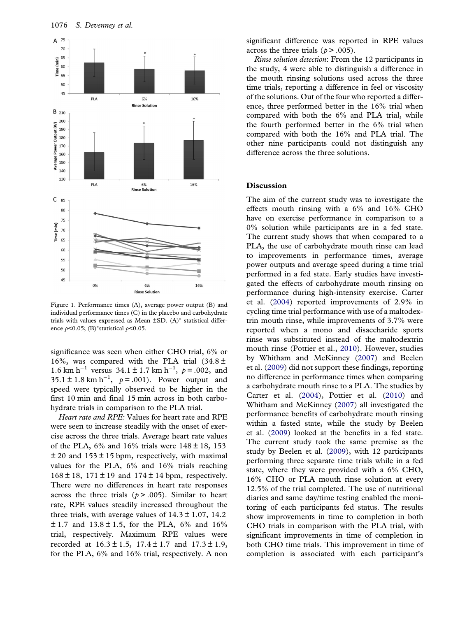<span id="page-6-0"></span>

Figure 1. Performance times (A), average power output (B) and individual performance times (C) in the placebo and carbohydrate trials with values expressed as Mean ±SD. (A)<sup>∗</sup> statistical difference  $p$ <0.05; (B)\*statistical  $p$ <0.05.

significance was seen when either CHO trial, 6% or 16%, was compared with the PLA trial  $(34.8 \pm$ 1.6 km h<sup>-1</sup> versus 34.1 ± 1.7 km h<sup>-1</sup>,  $p = .002$ , and 35.1 ± 1.8 km h<sup>-1</sup>,  $p = .001$ ). Power output and speed were typically observed to be higher in the first 10 min and final 15 min across in both carbohydrate trials in comparison to the PLA trial.

Heart rate and RPE: Values for heart rate and RPE were seen to increase steadily with the onset of exercise across the three trials. Average heart rate values of the PLA,  $6\%$  and  $16\%$  trials were  $148 \pm 18$ , 153  $\pm$  20 and 153  $\pm$  15 bpm, respectively, with maximal values for the PLA, 6% and 16% trials reaching  $168 \pm 18$ ,  $171 \pm 19$  and  $174 \pm 14$  bpm, respectively. There were no differences in heart rate responses across the three trials  $(p > .005)$ . Similar to heart rate, RPE values steadily increased throughout the three trials, with average values of  $14.3 \pm 1.07$ ,  $14.2$  $\pm$  1.7 and 13.8  $\pm$  1.5, for the PLA, 6% and 16% trial, respectively. Maximum RPE values were recorded at  $16.3 \pm 1.5$ ,  $17.4 \pm 1.7$  and  $17.3 \pm 1.9$ , for the PLA, 6% and 16% trial, respectively. A non significant difference was reported in RPE values across the three trials ( $p > .005$ ).

Rinse solution detection: From the 12 participants in the study, 4 were able to distinguish a difference in the mouth rinsing solutions used across the three time trials, reporting a difference in feel or viscosity of the solutions. Out of the four who reported a difference, three performed better in the 16% trial when compared with both the 6% and PLA trial, while the fourth performed better in the 6% trial when compared with both the 16% and PLA trial. The other nine participants could not distinguish any difference across the three solutions.

#### **Discussion**

The aim of the current study was to investigate the effects mouth rinsing with a 6% and 16% CHO have on exercise performance in comparison to a 0% solution while participants are in a fed state. The current study shows that when compared to a PLA, the use of carbohydrate mouth rinse can lead to improvements in performance times, average power outputs and average speed during a time trial performed in a fed state. Early studies have investigated the effects of carbohydrate mouth rinsing on performance during high-intensity exercise. Carter et al. ([2004\)](#page-7-0) reported improvements of 2.9% in cycling time trial performance with use of a maltodextrin mouth rinse, while improvements of 3.7% were reported when a mono and disaccharide sports rinse was substituted instead of the maltodextrin mouth rinse (Pottier et al., [2010](#page-8-0)). However, studies by Whitham and McKinney [\(2007\)](#page-8-0) and Beelen et al. ([2009](#page-7-0)) did not support these findings, reporting no difference in performance times when comparing a carbohydrate mouth rinse to a PLA. The studies by Carter et al. ([2004\)](#page-7-0), Pottier et al. ([2010](#page-8-0)) and Whitham and McKinney ([2007](#page-8-0)) all investigated the performance benefits of carbohydrate mouth rinsing within a fasted state, while the study by Beelen et al. [\(2009\)](#page-7-0) looked at the benefits in a fed state. The current study took the same premise as the study by Beelen et al. [\(2009\)](#page-7-0), with 12 participants performing three separate time trials while in a fed state, where they were provided with a 6% CHO, 16% CHO or PLA mouth rinse solution at every 12.5% of the trial completed. The use of nutritional diaries and same day/time testing enabled the monitoring of each participants fed status. The results show improvements in time to completion in both CHO trials in comparison with the PLA trial, with significant improvements in time of completion in both CHO time trials. This improvement in time of completion is associated with each participant's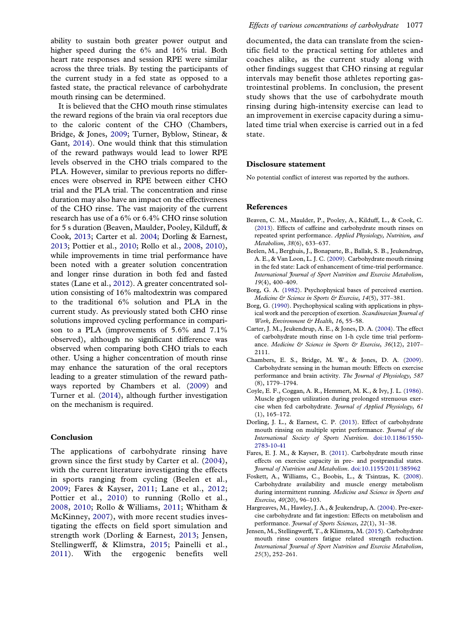<span id="page-7-0"></span>ability to sustain both greater power output and higher speed during the 6% and 16% trial. Both heart rate responses and session RPE were similar across the three trials. By testing the participants of the current study in a fed state as opposed to a fasted state, the practical relevance of carbohydrate mouth rinsing can be determined.

It is believed that the CHO mouth rinse stimulates the reward regions of the brain via oral receptors due to the caloric content of the CHO (Chambers, Bridge, & Jones, 2009; Turner, Byblow, Stinear, & Gant, [2014](#page-8-0)). One would think that this stimulation of the reward pathways would lead to lower RPE levels observed in the CHO trials compared to the PLA. However, similar to previous reports no differences were observed in RPE between either CHO trial and the PLA trial. The concentration and rinse duration may also have an impact on the effectiveness of the CHO rinse. The vast majority of the current research has use of a 6% or 6.4% CHO rinse solution for 5 s duration (Beaven, Maulder, Pooley, Kilduff, & Cook, 2013; Carter et al. 2004; Dorling & Earnest, 2013; Pottier et al., [2010](#page-8-0); Rollo et al., [2008,](#page-8-0) [2010\)](#page-8-0), while improvements in time trial performance have been noted with a greater solution concentration and longer rinse duration in both fed and fasted states (Lane et al., [2012](#page-8-0)). A greater concentrated solution consisting of 16% maltodextrin was compared to the traditional 6% solution and PLA in the current study. As previously stated both CHO rinse solutions improved cycling performance in comparison to a PLA (improvements of 5.6% and 7.1% observed), although no significant difference was observed when comparing both CHO trials to each other. Using a higher concentration of mouth rinse may enhance the saturation of the oral receptors leading to a greater stimulation of the reward pathways reported by Chambers et al. (2009) and Turner et al. [\(2014\)](#page-8-0), although further investigation on the mechanism is required.

#### Conclusion

The applications of carbohydrate rinsing have grown since the first study by Carter et al. (2004), with the current literature investigating the effects in sports ranging from cycling (Beelen et al., 2009; Fares & Kayser, 2011; Lane et al., [2012;](#page-8-0) Pottier et al., [2010](#page-8-0)) to running (Rollo et al., [2008,](#page-8-0) [2010](#page-8-0); Rollo & Williams, [2011;](#page-8-0) Whitham & McKinney, [2007\)](#page-8-0), with more recent studies investigating the effects on field sport simulation and strength work (Dorling & Earnest, 2013; Jensen, Stellingwerff, & Klimstra, 2015; Painelli et al., [2011\)](#page-8-0). With the ergogenic benefits well documented, the data can translate from the scientific field to the practical setting for athletes and coaches alike, as the current study along with other findings suggest that CHO rinsing at regular intervals may benefit those athletes reporting gastrointestinal problems. In conclusion, the present study shows that the use of carbohydrate mouth rinsing during high-intensity exercise can lead to an improvement in exercise capacity during a simulated time trial when exercise is carried out in a fed state.

#### Disclosure statement

No potential conflict of interest was reported by the authors.

#### References

- Beaven, C. M., Maulder, P., Pooley, A., Kilduff, L., & Cook, C. (2013). Effects of caffeine and carbohydrate mouth rinses on repeated sprint performance. Applied Physiology, Nutrition, and Metabolism, 38(6), 633–637.
- Beelen, M., Berghuis, J., Bonaparte, B., Ballak, S. B., Jeukendrup, A. E., & Van Loon, L. J. C. [\(2009](#page-4-0)). Carbohydrate mouth rinsing in the fed state: Lack of enhancement of time-trial performance. International Journal of Sport Nutrition and Exercise Metabolism, 19(4), 400–409.
- Borg, G. A. ([1982\)](#page-5-0). Psychophysical bases of perceived exertion. Medicine & Science in Sports & Exercise, 14(5), 377-381.
- Borg, G. [\(1990](#page-5-0)). Psychophysical scaling with applications in physical work and the perception of exertion. Scandinavian Journal of Work, Environment & Health, 16, 55-58.
- Carter, J. M., Jeukendrup, A. E., & Jones, D. A. [\(2004](#page-3-0)). The effect of carbohydrate mouth rinse on 1-h cycle time trial performance. Medicine & Science in Sports & Exercise, 36(12), 2107-2111.
- Chambers, E. S., Bridge, M. W., & Jones, D. A. (2009). Carbohydrate sensing in the human mouth: Effects on exercise performance and brain activity. The Journal of Physiology, 587 (8), 1779–1794.
- Coyle, E. F., Coggan, A. R., Hemmert, M. K., & Ivy, J. L. ([1986\)](#page-3-0). Muscle glycogen utilization during prolonged strenuous exercise when fed carbohydrate. Journal of Applied Physiology, 61 (1), 165–172.
- Dorling, J. L., & Earnest, C. P. [\(2013](#page-3-0)). Effect of carbohydrate mouth rinsing on multiple sprint performance. Journal of the International Society of Sports Nutrition. [doi:10.1186/1550-](http://dx.doi.org/doi:10.1186/1550-2783-10-41) [2783-10-41](http://dx.doi.org/doi:10.1186/1550-2783-10-41)
- Fares, E. J. M., & Kayser, B. (2011). Carbohydrate mouth rinse effects on exercise capacity in pre- and postprandial states. Journal of Nutrition and Metabolism. [doi:10.1155/2011/385962](http://dx.doi.org/10.1155/2011/385962)
- Foskett, A., Williams, C., Boobis, L., & Tsintzas, K. ([2008\)](#page-3-0). Carbohydrate availability and muscle energy metabolism during intermittent running. Medicine and Science in Sports and Exercise, 40(20), 96–103.
- Hargreaves, M., Hawley, J. A., & Jeukendrup, A. ([2004](#page-3-0)). Pre-exercise carbohydrate and fat ingestion: Effects on metabolism and performance. Journal of Sports Sciences, 22(1), 31-38.
- Jensen, M., Stellingwerff, T., & Klimstra, M. (2015). Carbohydrate mouth rinse counters fatigue related strength reduction. International Journal of Sport Nutrition and Exercise Metabolism, 25(3), 252–261.